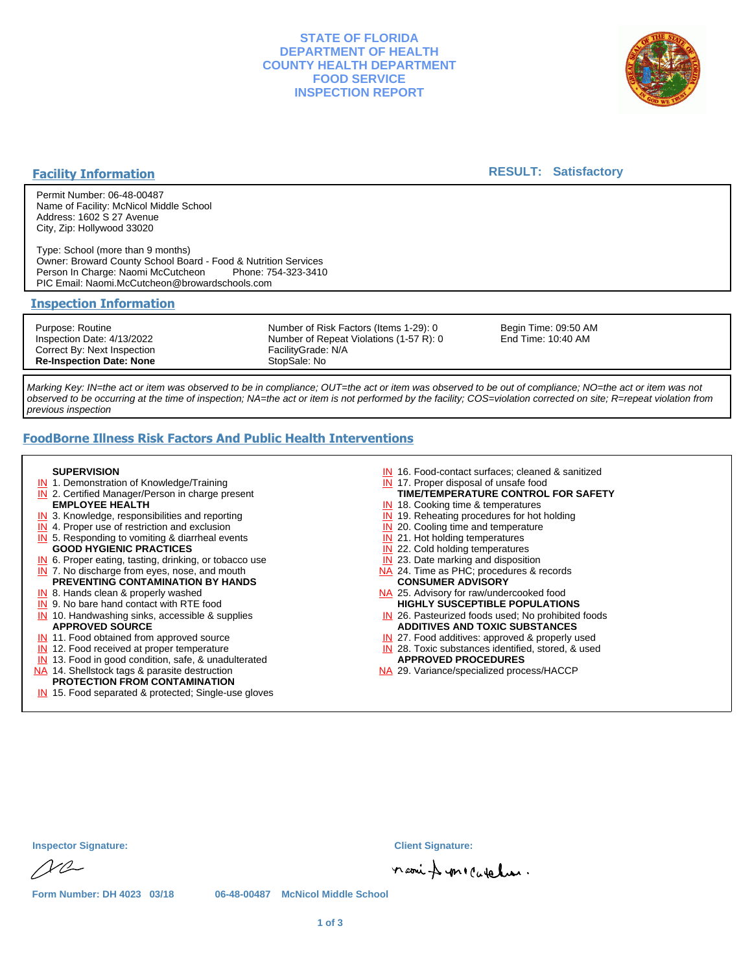## **STATE OF FLORIDA DEPARTMENT OF HEALTH COUNTY HEALTH DEPARTMENT FOOD SERVICE INSPECTION REPORT**



### **Facility Information**

### **RESULT: Satisfactory**

Permit Number: 06-48-00487 Name of Facility: McNicol Middle School Address: 1602 S 27 Avenue City, Zip: Hollywood 33020

Type: School (more than 9 months) Owner: Broward County School Board - Food & Nutrition Services Person In Charge: Naomi McCutcheon PIC Email: Naomi.McCutcheon@browardschools.com

#### **Inspection Information**

Purpose: Routine Inspection Date: 4/13/2022 Correct By: Next Inspection **Re-Inspection Date: None** Number of Risk Factors (Items 1-29): 0 Number of Repeat Violations (1-57 R): 0 FacilityGrade: N/A StopSale: No

Begin Time: 09:50 AM End Time: 10:40 AM

Marking Key: IN=the act or item was observed to be in compliance; OUT=the act or item was observed to be out of compliance; NO=the act or item was not observed to be occurring at the time of inspection; NA=the act or item is not performed by the facility; COS=violation corrected on site; R=repeat violation from previous inspection

## **FoodBorne Illness Risk Factors And Public Health Interventions**

#### **SUPERVISION**

- **IN** 1. Demonstration of Knowledge/Training
- **IN** 2. Certified Manager/Person in charge present **EMPLOYEE HEALTH**
- **IN** 3. Knowledge, responsibilities and reporting
- **IN** 4. Proper use of restriction and exclusion
- **IN** 5. Responding to vomiting & diarrheal events
- **GOOD HYGIENIC PRACTICES**
- **IN** 6. Proper eating, tasting, drinking, or tobacco use **IN** 7. No discharge from eyes, nose, and mouth
- **PREVENTING CONTAMINATION BY HANDS**
- IN 8. Hands clean & properly washed
- **IN** 9. No bare hand contact with RTE food IN 10. Handwashing sinks, accessible & supplies **APPROVED SOURCE**
- **IN** 11. Food obtained from approved source
- **IN** 12. Food received at proper temperature
- IN 13. Food in good condition, safe, & unadulterated
- NA 14. Shellstock tags & parasite destruction

#### **PROTECTION FROM CONTAMINATION**

IN 15. Food separated & protected; Single-use gloves

- IN 16. Food-contact surfaces; cleaned & sanitized
- IN 17. Proper disposal of unsafe food
- **TIME/TEMPERATURE CONTROL FOR SAFETY**
- IN 18. Cooking time & temperatures
- **IN** 19. Reheating procedures for hot holding **IN** 20. Cooling time and temperature
- IN 21. Hot holding temperatures
- **IN** 22. Cold holding temperatures
- **IN** 23. Date marking and disposition
- NA 24. Time as PHC; procedures & records **CONSUMER ADVISORY**
- NA 25. Advisory for raw/undercooked food **HIGHLY SUSCEPTIBLE POPULATIONS**
- IN 26. Pasteurized foods used; No prohibited foods **ADDITIVES AND TOXIC SUBSTANCES**
- IN 27. Food additives: approved & properly used
- IN 28. Toxic substances identified, stored, & used **APPROVED PROCEDURES**
- NA 29. Variance/specialized process/HACCP

| <b>Inspector Signature:</b> |  |  |
|-----------------------------|--|--|
| NQ                          |  |  |

**Inspector Signature: Client Signature:**

naoni & mecatalus.

**Form Number: DH 4023 03/18 06-48-00487 McNicol Middle School**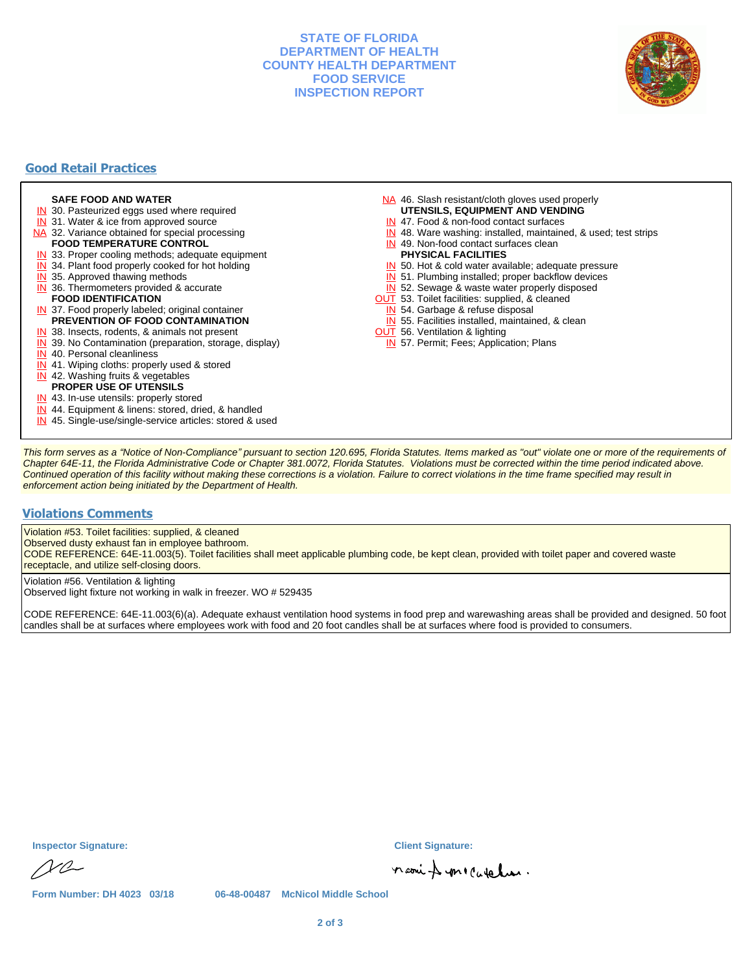## **STATE OF FLORIDA DEPARTMENT OF HEALTH COUNTY HEALTH DEPARTMENT FOOD SERVICE INSPECTION REPORT**



## **Good Retail Practices**

#### **SAFE FOOD AND WATER**

- **IN** 30. Pasteurized eggs used where required
- IN 31. Water & ice from approved source
- NA 32. Variance obtained for special processing **FOOD TEMPERATURE CONTROL**
- 
- **IN** 33. Proper cooling methods; adequate equipment
- **IN** 34. Plant food properly cooked for hot holding
- **IN** 35. Approved thawing methods
- IN 36. Thermometers provided & accurate **FOOD IDENTIFICATION**
- IN 37. Food properly labeled; original container **PREVENTION OF FOOD CONTAMINATION**
- IN 38. Insects, rodents, & animals not present
- **IN** 39. No Contamination (preparation, storage, display)
- IN 40. Personal cleanliness
- IN 41. Wiping cloths: properly used & stored
- IN 42. Washing fruits & vegetables
- **PROPER USE OF UTENSILS**
- IN 43. In-use utensils: properly stored
- IN 44. Equipment & linens: stored, dried, & handled
- IN 45. Single-use/single-service articles: stored & used
- NA 46. Slash resistant/cloth gloves used properly
- **UTENSILS, EQUIPMENT AND VENDING**
- IN 47. Food & non-food contact surfaces
- IN 48. Ware washing: installed, maintained, & used; test strips
- IN 49. Non-food contact surfaces clean
- **PHYSICAL FACILITIES**
- IN 50. Hot & cold water available; adequate pressure
- IN 51. Plumbing installed; proper backflow devices
- IN 52. Sewage & waste water properly disposed
- OUT 53. Toilet facilities: supplied, & cleaned
- IN 54. Garbage & refuse disposal
- IN 55. Facilities installed, maintained, & clean
- **OUT** 56. Ventilation & lighting
- IN 57. Permit; Fees; Application; Plans

This form serves as a "Notice of Non-Compliance" pursuant to section 120.695, Florida Statutes. Items marked as "out" violate one or more of the requirements of Chapter 64E-11, the Florida Administrative Code or Chapter 381.0072, Florida Statutes. Violations must be corrected within the time period indicated above. Continued operation of this facility without making these corrections is a violation. Failure to correct violations in the time frame specified may result in enforcement action being initiated by the Department of Health.

#### **Violations Comments**

Violation #53. Toilet facilities: supplied, & cleaned

Observed dusty exhaust fan in employee bathroom.

CODE REFERENCE: 64E-11.003(5). Toilet facilities shall meet applicable plumbing code, be kept clean, provided with toilet paper and covered waste receptacle, and utilize self-closing doors.

Violation #56. Ventilation & lighting

Observed light fixture not working in walk in freezer. WO # 529435

CODE REFERENCE: 64E-11.003(6)(a). Adequate exhaust ventilation hood systems in food prep and warewashing areas shall be provided and designed. 50 foot candles shall be at surfaces where employees work with food and 20 foot candles shall be at surfaces where food is provided to consumers.

**Inspector Signature: Client Signature:**

 $NQ$ 

naoin & mecaration.

**Form Number: DH 4023 03/18 06-48-00487 McNicol Middle School**